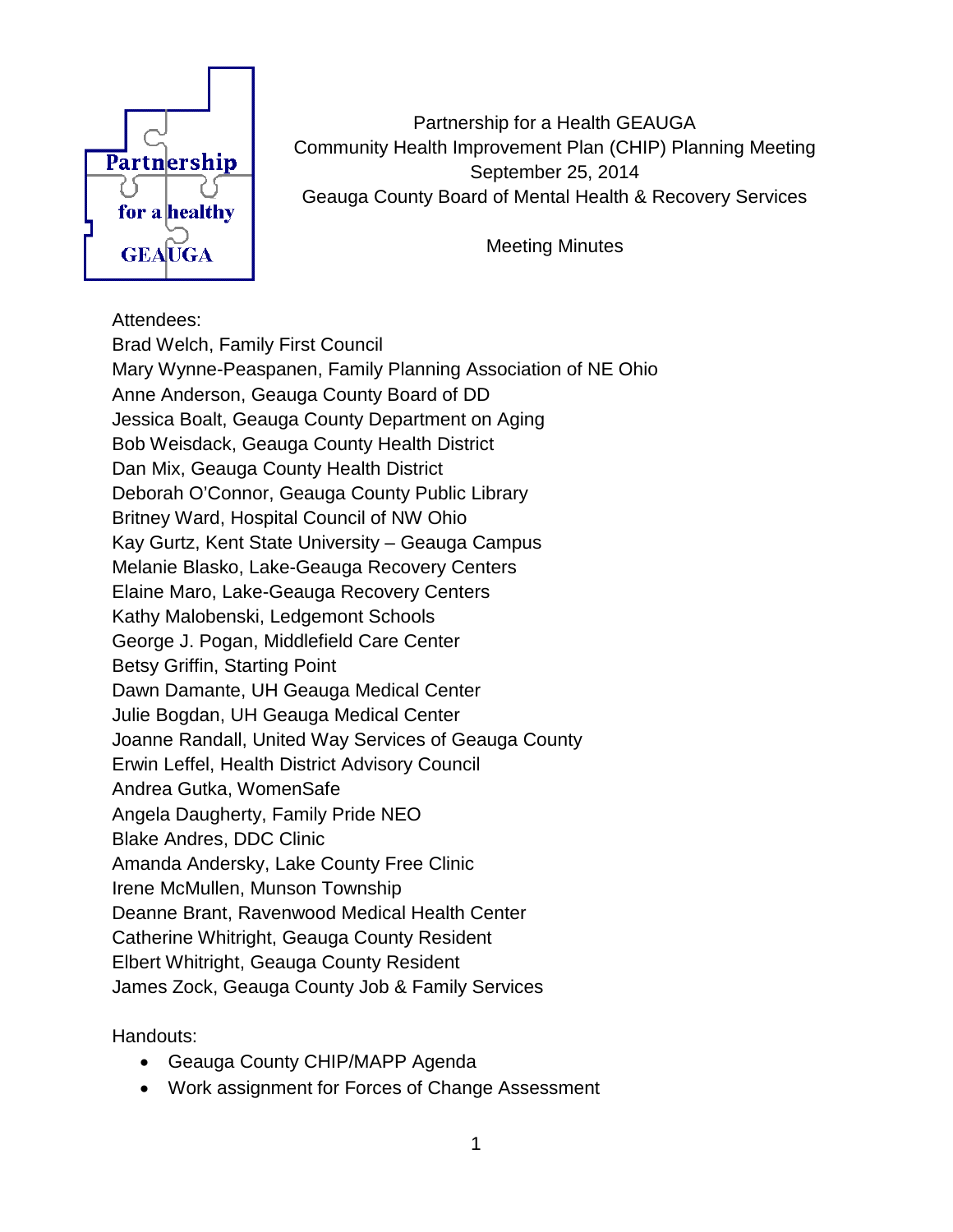

Partnership for a Health GEAUGA Community Health Improvement Plan (CHIP) Planning Meeting September 25, 2014 Geauga County Board of Mental Health & Recovery Services

Meeting Minutes

## Attendees:

Brad Welch, Family First Council Mary Wynne-Peaspanen, Family Planning Association of NE Ohio Anne Anderson, Geauga County Board of DD Jessica Boalt, Geauga County Department on Aging Bob Weisdack, Geauga County Health District Dan Mix, Geauga County Health District Deborah O'Connor, Geauga County Public Library Britney Ward, Hospital Council of NW Ohio Kay Gurtz, Kent State University – Geauga Campus Melanie Blasko, Lake-Geauga Recovery Centers Elaine Maro, Lake-Geauga Recovery Centers Kathy Malobenski, Ledgemont Schools George J. Pogan, Middlefield Care Center Betsy Griffin, Starting Point Dawn Damante, UH Geauga Medical Center Julie Bogdan, UH Geauga Medical Center Joanne Randall, United Way Services of Geauga County Erwin Leffel, Health District Advisory Council Andrea Gutka, WomenSafe Angela Daugherty, Family Pride NEO Blake Andres, DDC Clinic Amanda Andersky, Lake County Free Clinic Irene McMullen, Munson Township Deanne Brant, Ravenwood Medical Health Center Catherine Whitright, Geauga County Resident Elbert Whitright, Geauga County Resident James Zock, Geauga County Job & Family Services

Handouts:

- Geauga County CHIP/MAPP Agenda
- Work assignment for Forces of Change Assessment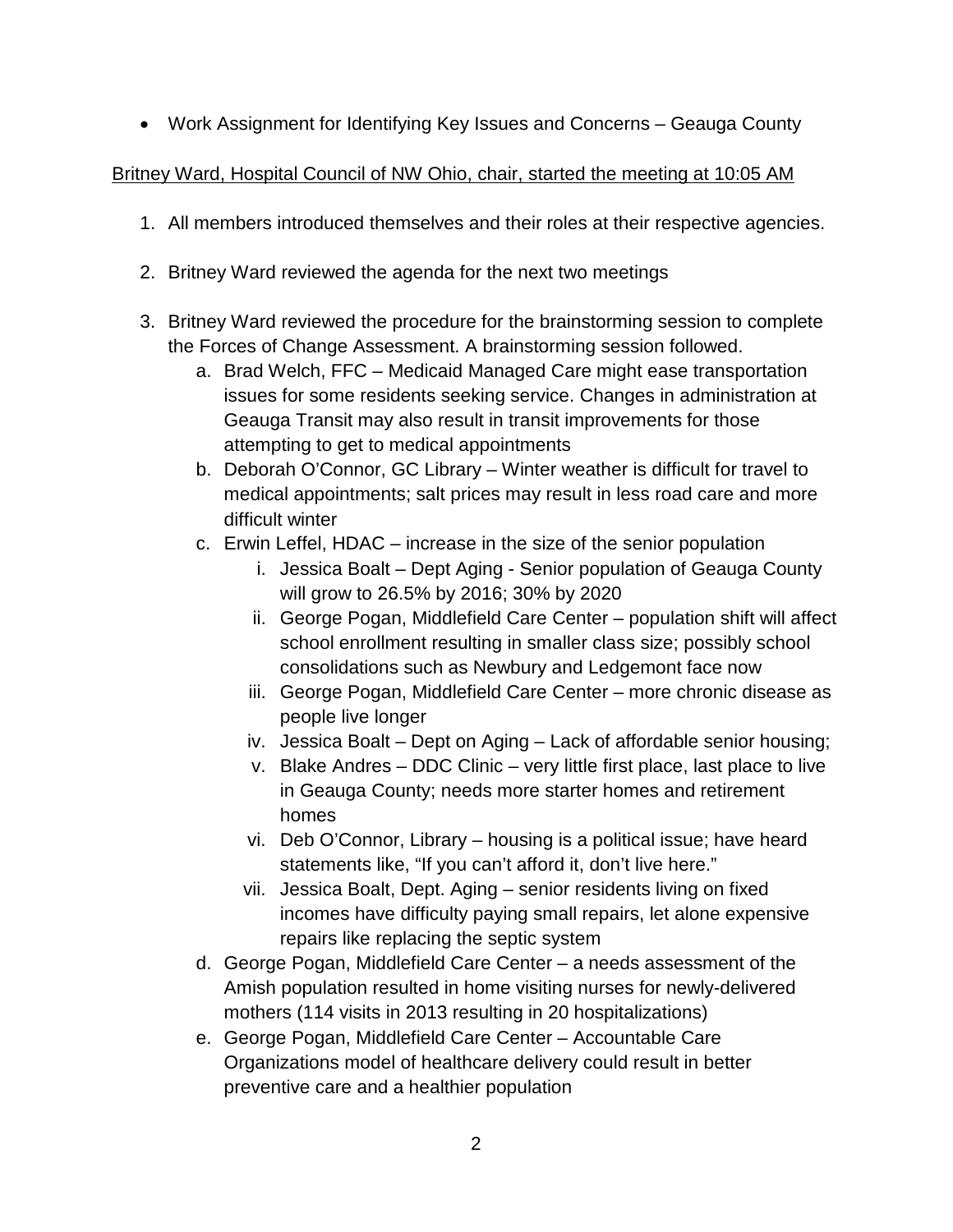• Work Assignment for Identifying Key Issues and Concerns – Geauga County

## Britney Ward, Hospital Council of NW Ohio, chair, started the meeting at 10:05 AM

- 1. All members introduced themselves and their roles at their respective agencies.
- 2. Britney Ward reviewed the agenda for the next two meetings
- 3. Britney Ward reviewed the procedure for the brainstorming session to complete the Forces of Change Assessment. A brainstorming session followed.
	- a. Brad Welch, FFC Medicaid Managed Care might ease transportation issues for some residents seeking service. Changes in administration at Geauga Transit may also result in transit improvements for those attempting to get to medical appointments
	- b. Deborah O'Connor, GC Library Winter weather is difficult for travel to medical appointments; salt prices may result in less road care and more difficult winter
	- c. Erwin Leffel, HDAC increase in the size of the senior population
		- i. Jessica Boalt Dept Aging Senior population of Geauga County will grow to 26.5% by 2016; 30% by 2020
		- ii. George Pogan, Middlefield Care Center population shift will affect school enrollment resulting in smaller class size; possibly school consolidations such as Newbury and Ledgemont face now
		- iii. George Pogan, Middlefield Care Center more chronic disease as people live longer
		- iv. Jessica Boalt Dept on Aging Lack of affordable senior housing;
		- v. Blake Andres DDC Clinic very little first place, last place to live in Geauga County; needs more starter homes and retirement homes
		- vi. Deb O'Connor, Library housing is a political issue; have heard statements like, "If you can't afford it, don't live here."
		- vii. Jessica Boalt, Dept. Aging senior residents living on fixed incomes have difficulty paying small repairs, let alone expensive repairs like replacing the septic system
	- d. George Pogan, Middlefield Care Center a needs assessment of the Amish population resulted in home visiting nurses for newly-delivered mothers (114 visits in 2013 resulting in 20 hospitalizations)
	- e. George Pogan, Middlefield Care Center Accountable Care Organizations model of healthcare delivery could result in better preventive care and a healthier population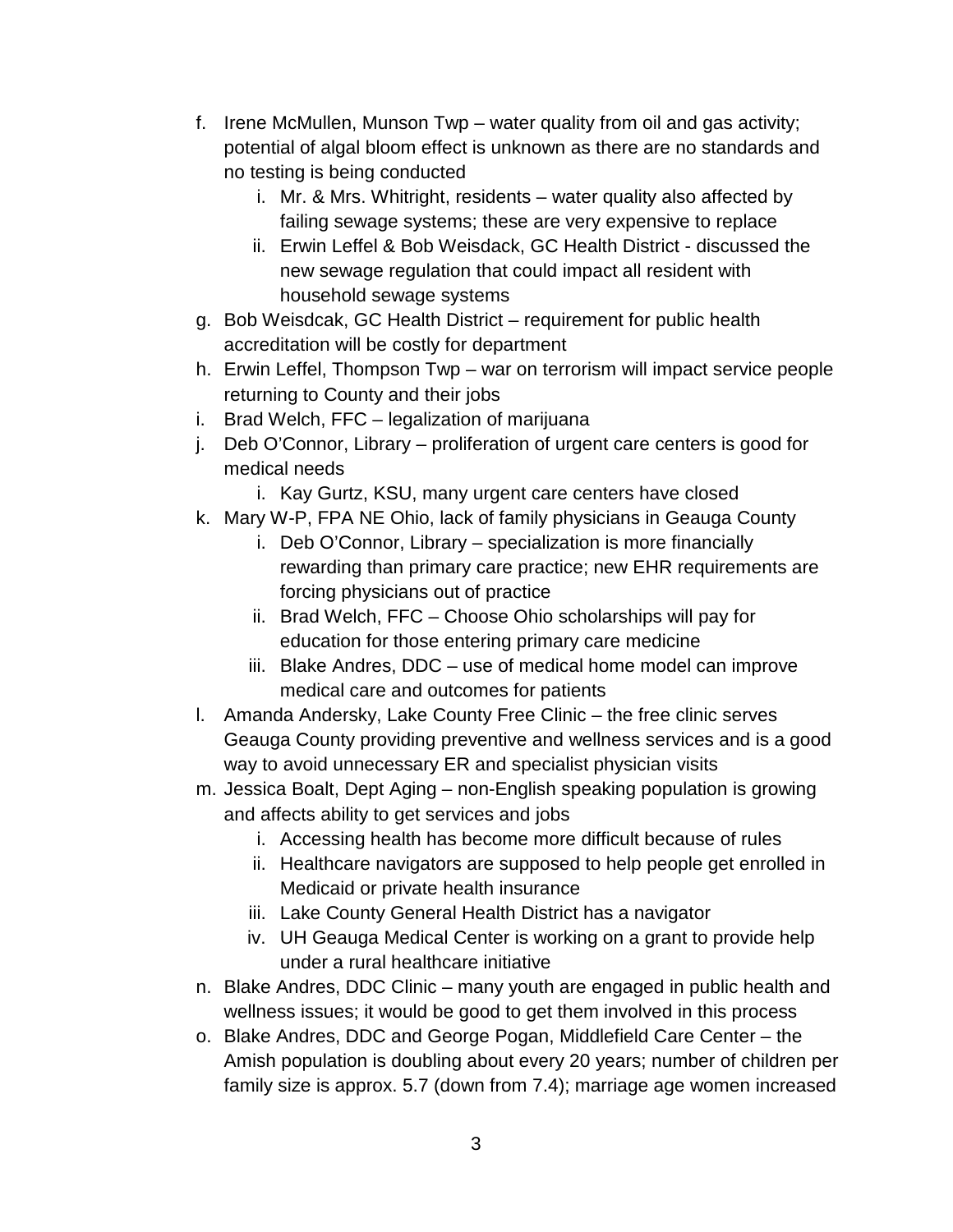- f. Irene McMullen, Munson Twp water quality from oil and gas activity; potential of algal bloom effect is unknown as there are no standards and no testing is being conducted
	- i. Mr. & Mrs. Whitright, residents water quality also affected by failing sewage systems; these are very expensive to replace
	- ii. Erwin Leffel & Bob Weisdack, GC Health District discussed the new sewage regulation that could impact all resident with household sewage systems
- g. Bob Weisdcak, GC Health District requirement for public health accreditation will be costly for department
- h. Erwin Leffel, Thompson Twp war on terrorism will impact service people returning to County and their jobs
- i. Brad Welch, FFC legalization of marijuana
- j. Deb O'Connor, Library proliferation of urgent care centers is good for medical needs
	- i. Kay Gurtz, KSU, many urgent care centers have closed
- k. Mary W-P, FPA NE Ohio, lack of family physicians in Geauga County
	- i. Deb O'Connor, Library specialization is more financially rewarding than primary care practice; new EHR requirements are forcing physicians out of practice
	- ii. Brad Welch, FFC Choose Ohio scholarships will pay for education for those entering primary care medicine
	- iii. Blake Andres, DDC use of medical home model can improve medical care and outcomes for patients
- l. Amanda Andersky, Lake County Free Clinic the free clinic serves Geauga County providing preventive and wellness services and is a good way to avoid unnecessary ER and specialist physician visits
- m. Jessica Boalt, Dept Aging non-English speaking population is growing and affects ability to get services and jobs
	- i. Accessing health has become more difficult because of rules
	- ii. Healthcare navigators are supposed to help people get enrolled in Medicaid or private health insurance
	- iii. Lake County General Health District has a navigator
	- iv. UH Geauga Medical Center is working on a grant to provide help under a rural healthcare initiative
- n. Blake Andres, DDC Clinic many youth are engaged in public health and wellness issues; it would be good to get them involved in this process
- o. Blake Andres, DDC and George Pogan, Middlefield Care Center the Amish population is doubling about every 20 years; number of children per family size is approx. 5.7 (down from 7.4); marriage age women increased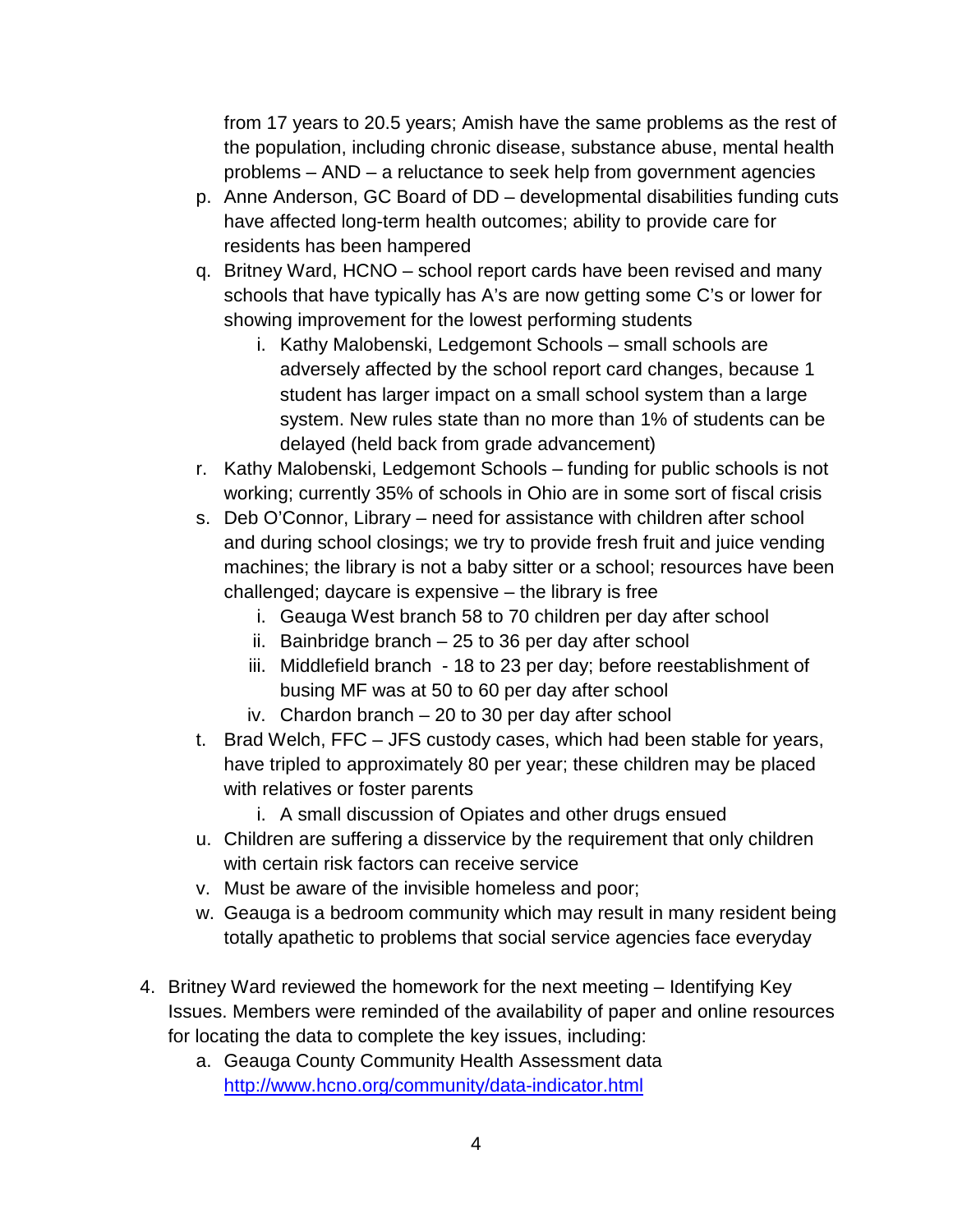from 17 years to 20.5 years; Amish have the same problems as the rest of the population, including chronic disease, substance abuse, mental health problems – AND – a reluctance to seek help from government agencies

- p. Anne Anderson, GC Board of DD developmental disabilities funding cuts have affected long-term health outcomes; ability to provide care for residents has been hampered
- q. Britney Ward, HCNO school report cards have been revised and many schools that have typically has A's are now getting some C's or lower for showing improvement for the lowest performing students
	- i. Kathy Malobenski, Ledgemont Schools small schools are adversely affected by the school report card changes, because 1 student has larger impact on a small school system than a large system. New rules state than no more than 1% of students can be delayed (held back from grade advancement)
- r. Kathy Malobenski, Ledgemont Schools funding for public schools is not working; currently 35% of schools in Ohio are in some sort of fiscal crisis
- s. Deb O'Connor, Library need for assistance with children after school and during school closings; we try to provide fresh fruit and juice vending machines; the library is not a baby sitter or a school; resources have been challenged; daycare is expensive – the library is free
	- i. Geauga West branch 58 to 70 children per day after school
	- ii. Bainbridge branch 25 to 36 per day after school
	- iii. Middlefield branch 18 to 23 per day; before reestablishment of busing MF was at 50 to 60 per day after school
	- iv. Chardon branch 20 to 30 per day after school
- t. Brad Welch, FFC JFS custody cases, which had been stable for years, have tripled to approximately 80 per year; these children may be placed with relatives or foster parents
	- i. A small discussion of Opiates and other drugs ensued
- u. Children are suffering a disservice by the requirement that only children with certain risk factors can receive service
- v. Must be aware of the invisible homeless and poor;
- w. Geauga is a bedroom community which may result in many resident being totally apathetic to problems that social service agencies face everyday
- 4. Britney Ward reviewed the homework for the next meeting Identifying Key Issues. Members were reminded of the availability of paper and online resources for locating the data to complete the key issues, including:
	- a. Geauga County Community Health Assessment data <http://www.hcno.org/community/data-indicator.html>